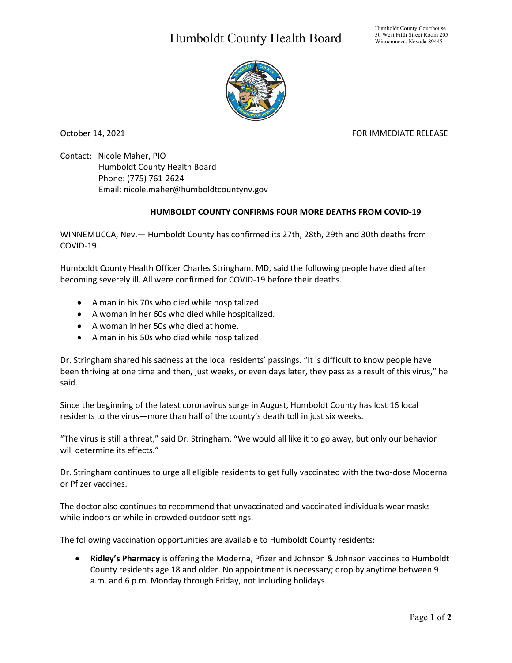## Humboldt County Health Board



October 14, 2021 **FOR IMMEDIATE RELEASE** 

Contact: Nicole Maher, PIO Humboldt County Health Board Phone: (775) 761-2624 Email: nicole.maher@humboldtcountynv.gov

## **HUMBOLDT COUNTY CONFIRMS FOUR MORE DEATHS FROM COVID-19**

WINNEMUCCA, Nev.— Humboldt County has confirmed its 27th, 28th, 29th and 30th deaths from COVID-19.

Humboldt County Health Officer Charles Stringham, MD, said the following people have died after becoming severely ill. All were confirmed for COVID-19 before their deaths.

- A man in his 70s who died while hospitalized.
- A woman in her 60s who died while hospitalized.
- A woman in her 50s who died at home.
- A man in his 50s who died while hospitalized.

Dr. Stringham shared his sadness at the local residents' passings. "It is difficult to know people have been thriving at one time and then, just weeks, or even days later, they pass as a result of this virus," he said.

Since the beginning of the latest coronavirus surge in August, Humboldt County has lost 16 local residents to the virus—more than half of the county's death toll in just six weeks.

"The virus is still a threat," said Dr. Stringham. "We would all like it to go away, but only our behavior will determine its effects."

Dr. Stringham continues to urge all eligible residents to get fully vaccinated with the two-dose Moderna or Pfizer vaccines.

The doctor also continues to recommend that unvaccinated and vaccinated individuals wear masks while indoors or while in crowded outdoor settings.

The following vaccination opportunities are available to Humboldt County residents:

• **Ridley's Pharmacy** is offering the Moderna, Pfizer and Johnson & Johnson vaccines to Humboldt County residents age 18 and older. No appointment is necessary; drop by anytime between 9 a.m. and 6 p.m. Monday through Friday, not including holidays.